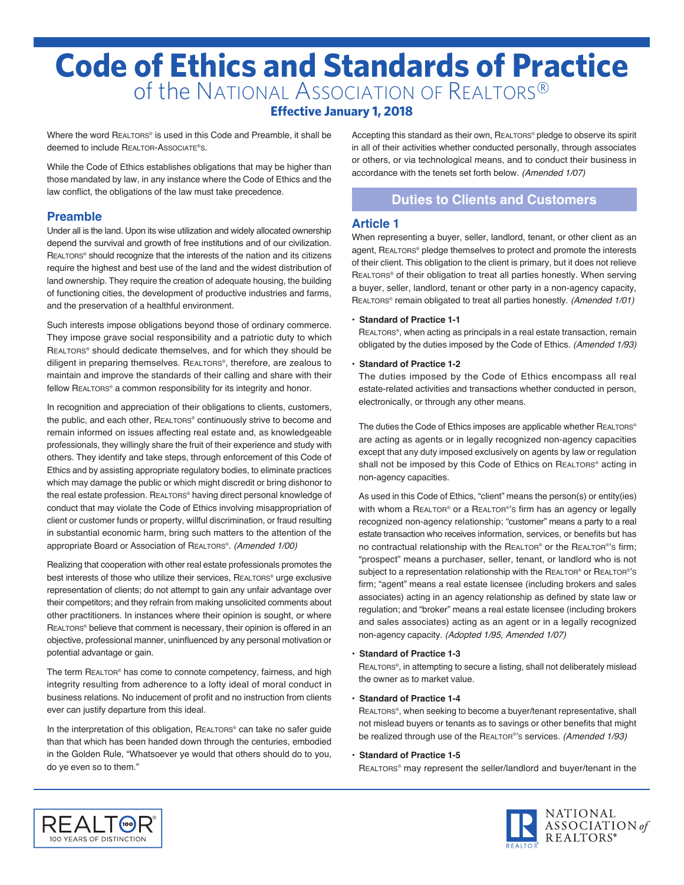# **Code of Ethics and Standards of Practice** of the National Association of Realtors®

# **Effective January 1, 2018**

Where the word REALTORS® is used in this Code and Preamble, it shall be deemed to include REALTOR-ASSOCIATE®S.

While the Code of Ethics establishes obligations that may be higher than those mandated by law, in any instance where the Code of Ethics and the law conflict, the obligations of the law must take precedence.

# **Preamble**

Under all is the land. Upon its wise utilization and widely allocated ownership depend the survival and growth of free institutions and of our civilization. REALTORS® should recognize that the interests of the nation and its citizens require the highest and best use of the land and the widest distribution of land ownership. They require the creation of adequate housing, the building of functioning cities, the development of productive industries and farms, and the preservation of a healthful environment.

Such interests impose obligations beyond those of ordinary commerce. They impose grave social responsibility and a patriotic duty to which REALTORS® should dedicate themselves, and for which they should be diligent in preparing themselves. REALTORS®, therefore, are zealous to maintain and improve the standards of their calling and share with their fellow REALTORS® a common responsibility for its integrity and honor.

In recognition and appreciation of their obligations to clients, customers, the public, and each other, REALTORS® continuously strive to become and remain informed on issues affecting real estate and, as knowledgeable professionals, they willingly share the fruit of their experience and study with others. They identify and take steps, through enforcement of this Code of Ethics and by assisting appropriate regulatory bodies, to eliminate practices which may damage the public or which might discredit or bring dishonor to the real estate profession. REALTORS® having direct personal knowledge of conduct that may violate the Code of Ethics involving misappropriation of client or customer funds or property, willful discrimination, or fraud resulting in substantial economic harm, bring such matters to the attention of the appropriate Board or Association of Realtors®. *(Amended 1/00)*

Realizing that cooperation with other real estate professionals promotes the best interests of those who utilize their services, REALTORS® urge exclusive representation of clients; do not attempt to gain any unfair advantage over their competitors; and they refrain from making unsolicited comments about other practitioners. In instances where their opinion is sought, or where REALTORS® believe that comment is necessary, their opinion is offered in an objective, professional manner, uninfluenced by any personal motivation or potential advantage or gain.

The term REALTOR® has come to connote competency, fairness, and high integrity resulting from adherence to a lofty ideal of moral conduct in business relations. No inducement of profit and no instruction from clients ever can justify departure from this ideal.

In the interpretation of this obligation, REALTORS® can take no safer guide than that which has been handed down through the centuries, embodied in the Golden Rule, "Whatsoever ye would that others should do to you, do ye even so to them."

Accepting this standard as their own, REALTORS® pledge to observe its spirit in all of their activities whether conducted personally, through associates or others, or via technological means, and to conduct their business in accordance with the tenets set forth below. *(Amended 1/07)*

# **Duties to Clients and Customers**

# **Article 1**

When representing a buyer, seller, landlord, tenant, or other client as an agent, REALTORS® pledge themselves to protect and promote the interests of their client. This obligation to the client is primary, but it does not relieve REALTORS<sup>®</sup> of their obligation to treat all parties honestly. When serving a buyer, seller, landlord, tenant or other party in a non-agency capacity, Realtors® remain obligated to treat all parties honestly. *(Amended 1/01)*

# • **Standard of Practice 1-1**

REALTORS®, when acting as principals in a real estate transaction, remain obligated by the duties imposed by the Code of Ethics. *(Amended 1/93)*

• **Standard of Practice 1-2**

 The duties imposed by the Code of Ethics encompass all real estate-related activities and transactions whether conducted in person, electronically, or through any other means.

The duties the Code of Ethics imposes are applicable whether REALTORS® are acting as agents or in legally recognized non-agency capacities except that any duty imposed exclusively on agents by law or regulation shall not be imposed by this Code of Ethics on REALTORS® acting in non-agency capacities.

 As used in this Code of Ethics, "client" means the person(s) or entity(ies) with whom a REALTOR® or a REALTOR®'s firm has an agency or legally recognized non-agency relationship; "customer" means a party to a real estate transaction who receives information, services, or benefits but has no contractual relationship with the REALTOR® or the REALTOR®'s firm; "prospect" means a purchaser, seller, tenant, or landlord who is not subject to a representation relationship with the REALTOR® or REALTOR®'s firm; "agent" means a real estate licensee (including brokers and sales associates) acting in an agency relationship as defined by state law or regulation; and "broker" means a real estate licensee (including brokers and sales associates) acting as an agent or in a legally recognized non-agency capacity. *(Adopted 1/95, Amended 1/07)*

# • **Standard of Practice 1-3**

REALTORS®, in attempting to secure a listing, shall not deliberately mislead the owner as to market value.

# • **Standard of Practice 1-4**

REALTORS®, when seeking to become a buyer/tenant representative, shall not mislead buyers or tenants as to savings or other benefits that might be realized through use of the REALTOR®'s services. (Amended 1/93)

# • **Standard of Practice 1-5**

REALTORS® may represent the seller/landlord and buyer/tenant in the



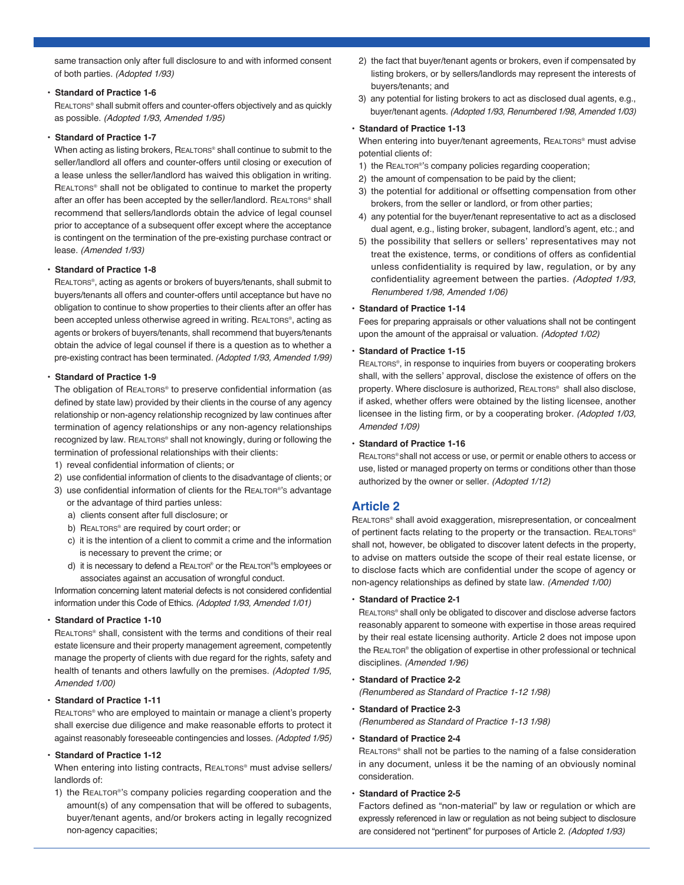same transaction only after full disclosure to and with informed consent of both parties. *(Adopted 1/93)*

#### • **Standard of Practice 1-6**

REALTORS® shall submit offers and counter-offers objectively and as quickly as possible. *(Adopted 1/93, Amended 1/95)*

#### • **Standard of Practice 1-7**

When acting as listing brokers, REALTORS® shall continue to submit to the seller/landlord all offers and counter-offers until closing or execution of a lease unless the seller/landlord has waived this obligation in writing. REALTORS<sup>®</sup> shall not be obligated to continue to market the property after an offer has been accepted by the seller/landlord. REALTORS® shall recommend that sellers/landlords obtain the advice of legal counsel prior to acceptance of a subsequent offer except where the acceptance is contingent on the termination of the pre-existing purchase contract or lease. *(Amended 1/93)*

# • **Standard of Practice 1-8**

REALTORS®, acting as agents or brokers of buyers/tenants, shall submit to buyers/tenants all offers and counter-offers until acceptance but have no obligation to continue to show properties to their clients after an offer has been accepted unless otherwise agreed in writing. REALTORS®, acting as agents or brokers of buyers/tenants, shall recommend that buyers/tenants obtain the advice of legal counsel if there is a question as to whether a pre-existing contract has been terminated. *(Adopted 1/93, Amended 1/99)*

#### • **Standard of Practice 1-9**

The obligation of REALTORS® to preserve confidential information (as defined by state law) provided by their clients in the course of any agency relationship or non-agency relationship recognized by law continues after termination of agency relationships or any non-agency relationships recognized by law. REALTORS® shall not knowingly, during or following the termination of professional relationships with their clients:

- 1) reveal confidential information of clients; or
- 2) use confidential information of clients to the disadvantage of clients; or
- 3) use confidential information of clients for the REALTOR®'s advantage or the advantage of third parties unless:
	- a) clients consent after full disclosure; or
	- b) REALTORS® are required by court order; or
	- c) it is the intention of a client to commit a crime and the information is necessary to prevent the crime; or
	- d) it is necessary to defend a REALTOR® or the REALTOR®'s employees or associates against an accusation of wrongful conduct.

 Information concerning latent material defects is not considered confidential information under this Code of Ethics. *(Adopted 1/93, Amended 1/01)*

# • **Standard of Practice 1-10**

REALTORS® shall, consistent with the terms and conditions of their real estate licensure and their property management agreement, competently manage the property of clients with due regard for the rights, safety and health of tenants and others lawfully on the premises. *(Adopted 1/95, Amended 1/00)*

# • **Standard of Practice 1-11**

REALTORS® who are employed to maintain or manage a client's property shall exercise due diligence and make reasonable efforts to protect it against reasonably foreseeable contingencies and losses. *(Adopted 1/95)*

# • **Standard of Practice 1-12**

When entering into listing contracts, REALTORS® must advise sellers/ landlords of:

1) the REALTOR®'s company policies regarding cooperation and the amount(s) of any compensation that will be offered to subagents, buyer/tenant agents, and/or brokers acting in legally recognized non-agency capacities;

- 2) the fact that buyer/tenant agents or brokers, even if compensated by listing brokers, or by sellers/landlords may represent the interests of buyers/tenants; and
- 3) any potential for listing brokers to act as disclosed dual agents, e.g., buyer/tenant agents. *(Adopted 1/93, Renumbered 1/98, Amended 1/03)*

# • **Standard of Practice 1-13**

When entering into buyer/tenant agreements, REALTORS® must advise potential clients of:

- 1) the REALTOR®'s company policies regarding cooperation;
- 2) the amount of compensation to be paid by the client;
- 3) the potential for additional or offsetting compensation from other brokers, from the seller or landlord, or from other parties;
- 4) any potential for the buyer/tenant representative to act as a disclosed dual agent, e.g., listing broker, subagent, landlord's agent, etc.; and
- 5) the possibility that sellers or sellers' representatives may not treat the existence, terms, or conditions of offers as confidential unless confidentiality is required by law, regulation, or by any confidentiality agreement between the parties. *(Adopted 1/93, Renumbered 1/98, Amended 1/06)*

#### • **Standard of Practice 1-14**

 Fees for preparing appraisals or other valuations shall not be contingent upon the amount of the appraisal or valuation. *(Adopted 1/02)*

#### • **Standard of Practice 1-15**

REALTORS®, in response to inquiries from buyers or cooperating brokers shall, with the sellers' approval, disclose the existence of offers on the property. Where disclosure is authorized, REALTORS® shall also disclose, if asked, whether offers were obtained by the listing licensee, another licensee in the listing firm, or by a cooperating broker. *(Adopted 1/03, Amended 1/09)*

#### • **Standard of Practice 1-16**

REALTORS® shall not access or use, or permit or enable others to access or use, listed or managed property on terms or conditions other than those authorized by the owner or seller. *(Adopted 1/12)*

# **Article 2**

REALTORS® shall avoid exaggeration, misrepresentation, or concealment of pertinent facts relating to the property or the transaction. REALTORS® shall not, however, be obligated to discover latent defects in the property, to advise on matters outside the scope of their real estate license, or to disclose facts which are confidential under the scope of agency or non-agency relationships as defined by state law. *(Amended 1/00)*

# • **Standard of Practice 2-1**

REALTORS® shall only be obligated to discover and disclose adverse factors reasonably apparent to someone with expertise in those areas required by their real estate licensing authority. Article 2 does not impose upon the REALTOR® the obligation of expertise in other professional or technical disciplines. *(Amended 1/96)*

• **Standard of Practice 2-2**

*(Renumbered as Standard of Practice 1-12 1/98)*

- **Standard of Practice 2-3** *(Renumbered as Standard of Practice 1-13 1/98)*
- **Standard of Practice 2-4**

REALTORS® shall not be parties to the naming of a false consideration in any document, unless it be the naming of an obviously nominal consideration.

# • **Standard of Practice 2-5**

 Factors defined as "non-material" by law or regulation or which are expressly referenced in law or regulation as not being subject to disclosure are considered not "pertinent" for purposes of Article 2. *(Adopted 1/93)*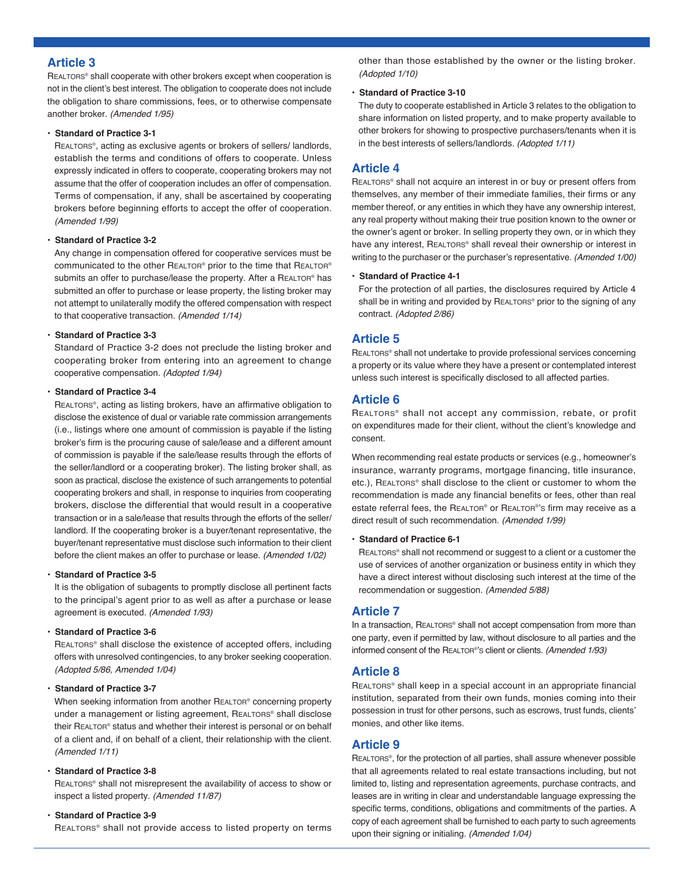# **Article 3**

REALTORS® shall cooperate with other brokers except when cooperation is not in the client's best interest. The obligation to cooperate does not include the obligation to share commissions, fees, or to otherwise compensate another broker. *(Amended 1/95)*

#### • **Standard of Practice 3-1**

REALTORS®, acting as exclusive agents or brokers of sellers/ landlords, establish the terms and conditions of offers to cooperate. Unless expressly indicated in offers to cooperate, cooperating brokers may not assume that the offer of cooperation includes an offer of compensation. Terms of compensation, if any, shall be ascertained by cooperating brokers before beginning efforts to accept the offer of cooperation. *(Amended 1/99)*

# • **Standard of Practice 3-2**

 Any change in compensation offered for cooperative services must be communicated to the other REALTOR® prior to the time that REALTOR® submits an offer to purchase/lease the property. After a REALTOR® has submitted an offer to purchase or lease property, the listing broker may not attempt to unilaterally modify the offered compensation with respect to that cooperative transaction. *(Amended 1/14)*

#### • **Standard of Practice 3-3**

 Standard of Practice 3-2 does not preclude the listing broker and cooperating broker from entering into an agreement to change cooperative compensation. *(Adopted 1/94)*

#### • **Standard of Practice 3-4**

REALTORS®, acting as listing brokers, have an affirmative obligation to disclose the existence of dual or variable rate commission arrangements (i.e., listings where one amount of commission is payable if the listing broker's firm is the procuring cause of sale/lease and a different amount of commission is payable if the sale/lease results through the efforts of the seller/landlord or a cooperating broker). The listing broker shall, as soon as practical, disclose the existence of such arrangements to potential cooperating brokers and shall, in response to inquiries from cooperating brokers, disclose the differential that would result in a cooperative transaction or in a sale/lease that results through the efforts of the seller/ landlord. If the cooperating broker is a buyer/tenant representative, the buyer/tenant representative must disclose such information to their client before the client makes an offer to purchase or lease. *(Amended 1/02)*

#### • **Standard of Practice 3-5**

 It is the obligation of subagents to promptly disclose all pertinent facts to the principal's agent prior to as well as after a purchase or lease agreement is executed. *(Amended 1/93)*

#### • **Standard of Practice 3-6**

REALTORS® shall disclose the existence of accepted offers, including offers with unresolved contingencies, to any broker seeking cooperation. *(Adopted 5/86, Amended 1/04)*

#### • **Standard of Practice 3-7**

When seeking information from another REALTOR® concerning property under a management or listing agreement, REALTORS® shall disclose their REALTOR® status and whether their interest is personal or on behalf of a client and, if on behalf of a client, their relationship with the client. *(Amended 1/11)*

# • **Standard of Practice 3-8**

REALTORS® shall not misrepresent the availability of access to show or inspect a listed property. *(Amended 11/87)*

#### • **Standard of Practice 3-9**

REALTORS® shall not provide access to listed property on terms

other than those established by the owner or the listing broker. *(Adopted 1/10)*

#### • **Standard of Practice 3-10**

 The duty to cooperate established in Article 3 relates to the obligation to share information on listed property, and to make property available to other brokers for showing to prospective purchasers/tenants when it is in the best interests of sellers/landlords. *(Adopted 1/11)*

# **Article 4**

REALTORS® shall not acquire an interest in or buy or present offers from themselves, any member of their immediate families, their firms or any member thereof, or any entities in which they have any ownership interest, any real property without making their true position known to the owner or the owner's agent or broker. In selling property they own, or in which they have any interest, REALTORS® shall reveal their ownership or interest in writing to the purchaser or the purchaser's representative. *(Amended 1/00)*

#### • **Standard of Practice 4-1**

 For the protection of all parties, the disclosures required by Article 4 shall be in writing and provided by REALTORS® prior to the signing of any contract. *(Adopted 2/86)*

# **Article 5**

REALTORS® shall not undertake to provide professional services concerning a property or its value where they have a present or contemplated interest unless such interest is specifically disclosed to all affected parties.

# **Article 6**

REALTORS® shall not accept any commission, rebate, or profit on expenditures made for their client, without the client's knowledge and consent.

When recommending real estate products or services (e.g., homeowner's insurance, warranty programs, mortgage financing, title insurance, etc.), REALTORS® shall disclose to the client or customer to whom the recommendation is made any financial benefits or fees, other than real estate referral fees, the REALTOR® or REALTOR®'s firm may receive as a direct result of such recommendation. *(Amended 1/99)*

# • **Standard of Practice 6-1**

REALTORS® shall not recommend or suggest to a client or a customer the use of services of another organization or business entity in which they have a direct interest without disclosing such interest at the time of the recommendation or suggestion. *(Amended 5/88)*

# **Article 7**

In a transaction, REALTORS® shall not accept compensation from more than one party, even if permitted by law, without disclosure to all parties and the informed consent of the Realtor®'s client or clients. *(Amended 1/93)*

# **Article 8**

REALTORS® shall keep in a special account in an appropriate financial institution, separated from their own funds, monies coming into their possession in trust for other persons, such as escrows, trust funds, clients' monies, and other like items.

# **Article 9**

REALTORS®, for the protection of all parties, shall assure whenever possible that all agreements related to real estate transactions including, but not limited to, listing and representation agreements, purchase contracts, and leases are in writing in clear and understandable language expressing the specific terms, conditions, obligations and commitments of the parties. A copy of each agreement shall be furnished to each party to such agreements upon their signing or initialing. *(Amended 1/04)*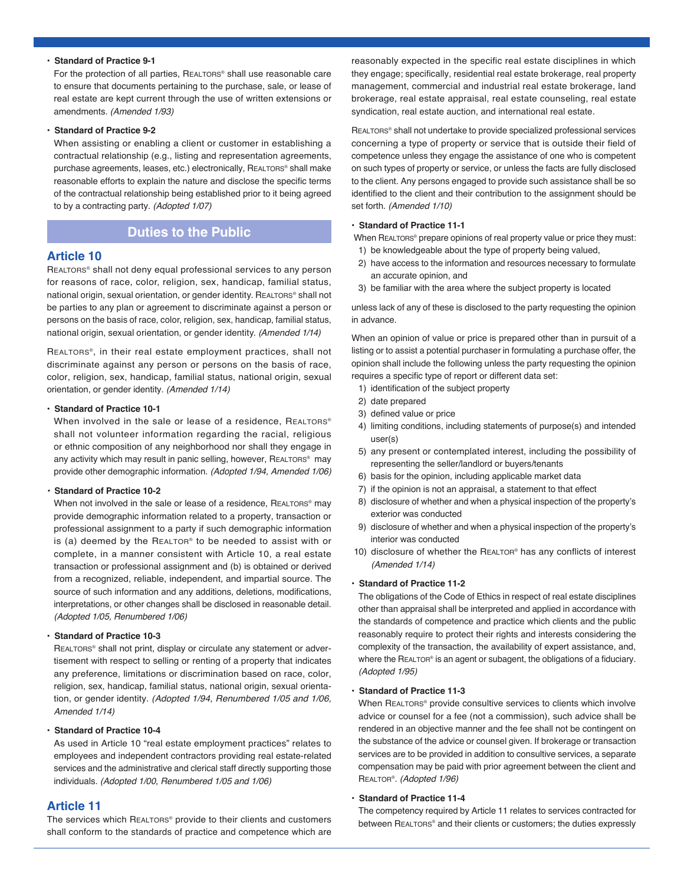#### • **Standard of Practice 9-1**

For the protection of all parties, REALTORS® shall use reasonable care to ensure that documents pertaining to the purchase, sale, or lease of real estate are kept current through the use of written extensions or amendments. *(Amended 1/93)*

# • **Standard of Practice 9-2**

 When assisting or enabling a client or customer in establishing a contractual relationship (e.g., listing and representation agreements, purchase agreements, leases, etc.) electronically, REALTORS® shall make reasonable efforts to explain the nature and disclose the specific terms of the contractual relationship being established prior to it being agreed to by a contracting party. *(Adopted 1/07)*

# **Duties to the Public**

# **Article 10**

REALTORS® shall not deny equal professional services to any person for reasons of race, color, religion, sex, handicap, familial status, national origin, sexual orientation, or gender identity. REALTORS® shall not be parties to any plan or agreement to discriminate against a person or persons on the basis of race, color, religion, sex, handicap, familial status, national origin, sexual orientation, or gender identity. *(Amended 1/14)*

REALTORS®, in their real estate employment practices, shall not discriminate against any person or persons on the basis of race, color, religion, sex, handicap, familial status, national origin, sexual orientation, or gender identity. *(Amended 1/14)*

#### • **Standard of Practice 10-1**

When involved in the sale or lease of a residence, REALTORS® shall not volunteer information regarding the racial, religious or ethnic composition of any neighborhood nor shall they engage in any activity which may result in panic selling, however, REALTORS® may provide other demographic information. *(Adopted 1/94, Amended 1/06)*

#### *•* **Standard of Practice 10-2**

When not involved in the sale or lease of a residence, REALTORS® may provide demographic information related to a property, transaction or professional assignment to a party if such demographic information is (a) deemed by the REALTOR® to be needed to assist with or complete, in a manner consistent with Article 10, a real estate transaction or professional assignment and (b) is obtained or derived from a recognized, reliable, independent, and impartial source. The source of such information and any additions, deletions, modifications, interpretations, or other changes shall be disclosed in reasonable detail. *(Adopted 1/05, Renumbered 1/06)*

#### **• Standard of Practice 10-3**

REALTORS® shall not print, display or circulate any statement or advertisement with respect to selling or renting of a property that indicates any preference, limitations or discrimination based on race, color, religion, sex, handicap, familial status, national origin, sexual orientation, or gender identity. *(Adopted 1/94, Renumbered 1/05 and 1/06, Amended 1/14)*

#### **• Standard of Practice 10-4**

 As used in Article 10 "real estate employment practices" relates to employees and independent contractors providing real estate-related services and the administrative and clerical staff directly supporting those individuals. *(Adopted 1/00, Renumbered 1/05 and 1/06)*

# **Article 11**

The services which REALTORS® provide to their clients and customers shall conform to the standards of practice and competence which are reasonably expected in the specific real estate disciplines in which they engage; specifically, residential real estate brokerage, real property management, commercial and industrial real estate brokerage, land brokerage, real estate appraisal, real estate counseling, real estate syndication, real estate auction, and international real estate.

REALTORS® shall not undertake to provide specialized professional services concerning a type of property or service that is outside their field of competence unless they engage the assistance of one who is competent on such types of property or service, or unless the facts are fully disclosed to the client. Any persons engaged to provide such assistance shall be so identified to the client and their contribution to the assignment should be set forth. *(Amended 1/10)*

#### • **Standard of Practice 11-1**

When REALTORS® prepare opinions of real property value or price they must: 1) be knowledgeable about the type of property being valued,

- 2) have access to the information and resources necessary to formulate an accurate opinion, and
- 3) be familiar with the area where the subject property is located

unless lack of any of these is disclosed to the party requesting the opinion in advance.

When an opinion of value or price is prepared other than in pursuit of a listing or to assist a potential purchaser in formulating a purchase offer, the opinion shall include the following unless the party requesting the opinion requires a specific type of report or different data set:

- 1) identification of the subject property
- 2) date prepared
- 3) defined value or price
- 4) limiting conditions, including statements of purpose(s) and intended user(s)
- 5) any present or contemplated interest, including the possibility of representing the seller/landlord or buyers/tenants
- 6) basis for the opinion, including applicable market data
- 7) if the opinion is not an appraisal, a statement to that effect
- 8) disclosure of whether and when a physical inspection of the property's exterior was conducted
- 9) disclosure of whether and when a physical inspection of the property's interior was conducted
- 10) disclosure of whether the REALTOR® has any conflicts of interest *(Amended 1/14)*

#### • **Standard of Practice 11-2**

 The obligations of the Code of Ethics in respect of real estate disciplines other than appraisal shall be interpreted and applied in accordance with the standards of competence and practice which clients and the public reasonably require to protect their rights and interests considering the complexity of the transaction, the availability of expert assistance, and, where the REALTOR® is an agent or subagent, the obligations of a fiduciary. *(Adopted 1/95)*

#### • **Standard of Practice 11-3**

When REALTORS® provide consultive services to clients which involve advice or counsel for a fee (not a commission), such advice shall be rendered in an objective manner and the fee shall not be contingent on the substance of the advice or counsel given. If brokerage or transaction services are to be provided in addition to consultive services, a separate compensation may be paid with prior agreement between the client and Realtor®. *(Adopted 1/96)*

#### • **Standard of Practice 11-4**

 The competency required by Article 11 relates to services contracted for between REALTORS® and their clients or customers; the duties expressly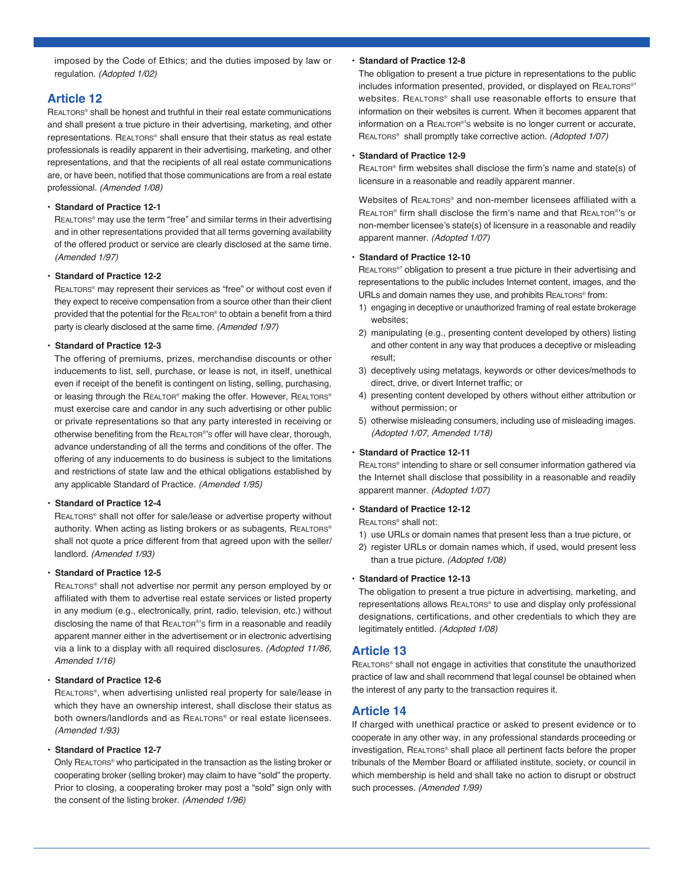imposed by the Code of Ethics; and the duties imposed by law or regulation. *(Adopted 1/02)*

# **Article 12**

REALTORS® shall be honest and truthful in their real estate communications and shall present a true picture in their advertising, marketing, and other representations. REALTORS® shall ensure that their status as real estate professionals is readily apparent in their advertising, marketing, and other representations, and that the recipients of all real estate communications are, or have been, notified that those communications are from a real estate professional. *(Amended 1/08)*

# • **Standard of Practice 12-1**

REALTORS® may use the term "free" and similar terms in their advertising and in other representations provided that all terms governing availability of the offered product or service are clearly disclosed at the same time. *(Amended 1/97)*

# • **Standard of Practice 12-2**

REALTORS® may represent their services as "free" or without cost even if they expect to receive compensation from a source other than their client provided that the potential for the REALTOR® to obtain a benefit from a third party is clearly disclosed at the same time. *(Amended 1/97)*

# • **Standard of Practice 12-3**

 The offering of premiums, prizes, merchandise discounts or other inducements to list, sell, purchase, or lease is not, in itself, unethical even if receipt of the benefit is contingent on listing, selling, purchasing, or leasing through the REALTOR® making the offer. However, REALTORS® must exercise care and candor in any such advertising or other public or private representations so that any party interested in receiving or otherwise benefiting from the REALTOR®'s offer will have clear, thorough, advance understanding of all the terms and conditions of the offer. The offering of any inducements to do business is subject to the limitations and restrictions of state law and the ethical obligations established by any applicable Standard of Practice. *(Amended 1/95)*

# • **Standard of Practice 12-4**

REALTORS® shall not offer for sale/lease or advertise property without authority. When acting as listing brokers or as subagents, REALTORS® shall not quote a price different from that agreed upon with the seller/ landlord. *(Amended 1/93)*

# • **Standard of Practice 12-5**

REALTORS® shall not advertise nor permit any person employed by or affiliated with them to advertise real estate services or listed property in any medium (e.g., electronically, print, radio, television, etc.) without disclosing the name of that REALTOR®'s firm in a reasonable and readily apparent manner either in the advertisement or in electronic advertising via a link to a display with all required disclosures. *(Adopted 11/86, Amended 1/16)*

# • **Standard of Practice 12-6**

REALTORS®, when advertising unlisted real property for sale/lease in which they have an ownership interest, shall disclose their status as both owners/landlords and as REALTORS® or real estate licensees. *(Amended 1/93)*

# • **Standard of Practice 12-7**

Only REALTORS® who participated in the transaction as the listing broker or cooperating broker (selling broker) may claim to have "sold" the property. Prior to closing, a cooperating broker may post a "sold" sign only with the consent of the listing broker. *(Amended 1/96)*

# • **Standard of Practice 12-8**

 The obligation to present a true picture in representations to the public includes information presented, provided, or displayed on REALTORS®' websites. REALTORS® shall use reasonable efforts to ensure that information on their websites is current. When it becomes apparent that information on a REALTOR®'s website is no longer current or accurate, Realtors® shall promptly take corrective action. *(Adopted 1/07)*

# • **Standard of Practice 12-9**

REALTOR<sup>®</sup> firm websites shall disclose the firm's name and state(s) of licensure in a reasonable and readily apparent manner.

Websites of REALTORS® and non-member licensees affiliated with a REALTOR<sup>®</sup> firm shall disclose the firm's name and that REALTOR®'s or non-member licensee's state(s) of licensure in a reasonable and readily apparent manner. *(Adopted 1/07)*

# • **Standard of Practice 12-10**

REALTORS®' obligation to present a true picture in their advertising and representations to the public includes Internet content, images, and the URLs and domain names they use, and prohibits REALTORS® from:

- 1) engaging in deceptive or unauthorized framing of real estate brokerage websites;
- 2) manipulating (e.g., presenting content developed by others) listing and other content in any way that produces a deceptive or misleading result;
- 3) deceptively using metatags, keywords or other devices/methods to direct, drive, or divert Internet traffic; or
- 4) presenting content developed by others without either attribution or without permission; or
- 5) otherwise misleading consumers, including use of misleading images. *(Adopted 1/07, Amended 1/18)*

# • **Standard of Practice 12-11**

REALTORS® intending to share or sell consumer information gathered via the Internet shall disclose that possibility in a reasonable and readily apparent manner. *(Adopted 1/07)*

# **• Standard of Practice 12-12**

REALTORS<sup>®</sup> shall not:

- 1) use URLs or domain names that present less than a true picture, or
- 2) register URLs or domain names which, if used, would present less than a true picture. *(Adopted 1/08)*

# **• Standard of Practice 12-13**

 The obligation to present a true picture in advertising, marketing, and representations allows REALTORS® to use and display only professional designations, certifications, and other credentials to which they are legitimately entitled. *(Adopted 1/08)*

# **Article 13**

REALTORS® shall not engage in activities that constitute the unauthorized practice of law and shall recommend that legal counsel be obtained when the interest of any party to the transaction requires it.

# **Article 14**

If charged with unethical practice or asked to present evidence or to cooperate in any other way, in any professional standards proceeding or investigation, REALTORS® shall place all pertinent facts before the proper tribunals of the Member Board or affiliated institute, society, or council in which membership is held and shall take no action to disrupt or obstruct such processes. *(Amended 1/99)*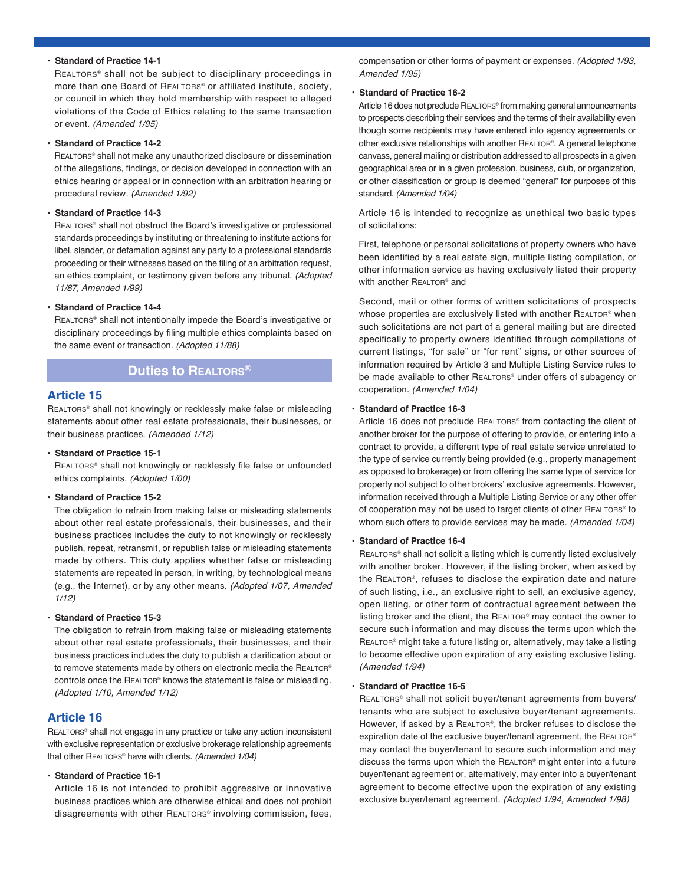# • **Standard of Practice 14-1**

REALTORS® shall not be subject to disciplinary proceedings in more than one Board of REALTORS® or affiliated institute, society, or council in which they hold membership with respect to alleged violations of the Code of Ethics relating to the same transaction or event. *(Amended 1/95)*

#### • **Standard of Practice 14-2**

REALTORS® shall not make any unauthorized disclosure or dissemination of the allegations, findings, or decision developed in connection with an ethics hearing or appeal or in connection with an arbitration hearing or procedural review. *(Amended 1/92)*

#### • **Standard of Practice 14-3**

REALTORS® shall not obstruct the Board's investigative or professional standards proceedings by instituting or threatening to institute actions for libel, slander, or defamation against any party to a professional standards proceeding or their witnesses based on the filing of an arbitration request, an ethics complaint, or testimony given before any tribunal. *(Adopted 11/87, Amended 1/99)*

# • **Standard of Practice 14-4**

REALTORS® shall not intentionally impede the Board's investigative or disciplinary proceedings by filing multiple ethics complaints based on the same event or transaction. *(Adopted 11/88)*

# **Duties to Realtors®**

# **Article 15**

REALTORS® shall not knowingly or recklessly make false or misleading statements about other real estate professionals, their businesses, or their business practices. *(Amended 1/12)*

#### • **Standard of Practice 15-1**

REALTORS® shall not knowingly or recklessly file false or unfounded ethics complaints. *(Adopted 1/00)*

#### • **Standard of Practice 15-2**

 The obligation to refrain from making false or misleading statements about other real estate professionals, their businesses, and their business practices includes the duty to not knowingly or recklessly publish, repeat, retransmit, or republish false or misleading statements made by others. This duty applies whether false or misleading statements are repeated in person, in writing, by technological means (e.g., the Internet), or by any other means. *(Adopted 1/07, Amended 1/12)*

#### • **Standard of Practice 15-3**

 The obligation to refrain from making false or misleading statements about other real estate professionals, their businesses, and their business practices includes the duty to publish a clarification about or to remove statements made by others on electronic media the REALTOR® controls once the REALTOR® knows the statement is false or misleading. *(Adopted 1/10, Amended 1/12)*

# **Article 16**

REALTORS® shall not engage in any practice or take any action inconsistent with exclusive representation or exclusive brokerage relationship agreements that other REALTORS® have with clients. (Amended 1/04)

# • **Standard of Practice 16-1**

 Article 16 is not intended to prohibit aggressive or innovative business practices which are otherwise ethical and does not prohibit disagreements with other Realtors® involving commission, fees,

compensation or other forms of payment or expenses. *(Adopted 1/93, Amended 1/95)*

#### • **Standard of Practice 16-2**

Article 16 does not preclude REALTORS® from making general announcements to prospects describing their services and the terms of their availability even though some recipients may have entered into agency agreements or other exclusive relationships with another REALTOR®. A general telephone canvass, general mailing or distribution addressed to all prospects in a given geographical area or in a given profession, business, club, or organization, or other classification or group is deemed "general" for purposes of this standard. *(Amended 1/04)*

Article 16 is intended to recognize as unethical two basic types of solicitations:

 First, telephone or personal solicitations of property owners who have been identified by a real estate sign, multiple listing compilation, or other information service as having exclusively listed their property with another REALTOR® and

 Second, mail or other forms of written solicitations of prospects whose properties are exclusively listed with another REALTOR® when such solicitations are not part of a general mailing but are directed specifically to property owners identified through compilations of current listings, "for sale" or "for rent" signs, or other sources of information required by Article 3 and Multiple Listing Service rules to be made available to other REALTORS® under offers of subagency or cooperation. *(Amended 1/04)*

#### • **Standard of Practice 16-3**

Article 16 does not preclude REALTORS® from contacting the client of another broker for the purpose of offering to provide, or entering into a contract to provide, a different type of real estate service unrelated to the type of service currently being provided (e.g., property management as opposed to brokerage) or from offering the same type of service for property not subject to other brokers' exclusive agreements. However, information received through a Multiple Listing Service or any other offer of cooperation may not be used to target clients of other REALTORS® to whom such offers to provide services may be made. *(Amended 1/04)*

#### • **Standard of Practice 16-4**

REALTORS® shall not solicit a listing which is currently listed exclusively with another broker. However, if the listing broker, when asked by the REALTOR®, refuses to disclose the expiration date and nature of such listing, i.e., an exclusive right to sell, an exclusive agency, open listing, or other form of contractual agreement between the listing broker and the client, the REALTOR® may contact the owner to secure such information and may discuss the terms upon which the REALTOR<sup>®</sup> might take a future listing or, alternatively, may take a listing to become effective upon expiration of any existing exclusive listing. *(Amended 1/94)*

#### • **Standard of Practice 16-5**

REALTORS® shall not solicit buyer/tenant agreements from buyers/ tenants who are subject to exclusive buyer/tenant agreements. However, if asked by a REALTOR®, the broker refuses to disclose the expiration date of the exclusive buyer/tenant agreement, the REALTOR® may contact the buyer/tenant to secure such information and may discuss the terms upon which the REALTOR® might enter into a future buyer/tenant agreement or, alternatively, may enter into a buyer/tenant agreement to become effective upon the expiration of any existing exclusive buyer/tenant agreement. *(Adopted 1/94, Amended 1/98)*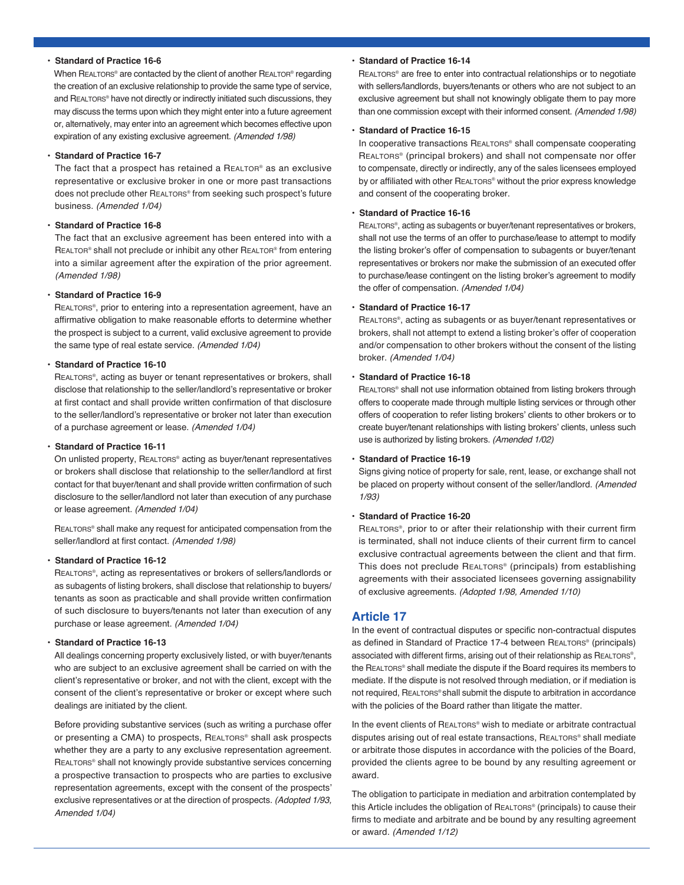# • **Standard of Practice 16-6**

When REALTORS® are contacted by the client of another REALTOR® regarding the creation of an exclusive relationship to provide the same type of service, and REALTORS® have not directly or indirectly initiated such discussions, they may discuss the terms upon which they might enter into a future agreement or, alternatively, may enter into an agreement which becomes effective upon expiration of any existing exclusive agreement. *(Amended 1/98)*

#### • **Standard of Practice 16-7**

The fact that a prospect has retained a REALTOR® as an exclusive representative or exclusive broker in one or more past transactions does not preclude other REALTORS® from seeking such prospect's future business. *(Amended 1/04)*

#### • **Standard of Practice 16-8**

 The fact that an exclusive agreement has been entered into with a REALTOR® shall not preclude or inhibit any other REALTOR® from entering into a similar agreement after the expiration of the prior agreement. *(Amended 1/98)*

# • **Standard of Practice 16-9**

REALTORS®, prior to entering into a representation agreement, have an affirmative obligation to make reasonable efforts to determine whether the prospect is subject to a current, valid exclusive agreement to provide the same type of real estate service. *(Amended 1/04)*

#### • **Standard of Practice 16-10**

REALTORS®, acting as buyer or tenant representatives or brokers, shall disclose that relationship to the seller/landlord's representative or broker at first contact and shall provide written confirmation of that disclosure to the seller/landlord's representative or broker not later than execution of a purchase agreement or lease. *(Amended 1/04)*

#### • **Standard of Practice 16-11**

On unlisted property, REALTORS® acting as buyer/tenant representatives or brokers shall disclose that relationship to the seller/landlord at first contact for that buyer/tenant and shall provide written confirmation of such disclosure to the seller/landlord not later than execution of any purchase or lease agreement. *(Amended 1/04)*

REALTORS® shall make any request for anticipated compensation from the seller/landlord at first contact. *(Amended 1/98)*

#### • **Standard of Practice 16-12**

REALTORS®, acting as representatives or brokers of sellers/landlords or as subagents of listing brokers, shall disclose that relationship to buyers/ tenants as soon as practicable and shall provide written confirmation of such disclosure to buyers/tenants not later than execution of any purchase or lease agreement. *(Amended 1/04)*

#### • **Standard of Practice 16-13**

 All dealings concerning property exclusively listed, or with buyer/tenants who are subject to an exclusive agreement shall be carried on with the client's representative or broker, and not with the client, except with the consent of the client's representative or broker or except where such dealings are initiated by the client.

 Before providing substantive services (such as writing a purchase offer or presenting a CMA) to prospects, REALTORS® shall ask prospects whether they are a party to any exclusive representation agreement. REALTORS® shall not knowingly provide substantive services concerning a prospective transaction to prospects who are parties to exclusive representation agreements, except with the consent of the prospects' exclusive representatives or at the direction of prospects. *(Adopted 1/93, Amended 1/04)*

# • **Standard of Practice 16-14**

REALTORS® are free to enter into contractual relationships or to negotiate with sellers/landlords, buyers/tenants or others who are not subject to an exclusive agreement but shall not knowingly obligate them to pay more than one commission except with their informed consent. *(Amended 1/98)*

#### • **Standard of Practice 16-15**

In cooperative transactions REALTORS® shall compensate cooperating REALTORS® (principal brokers) and shall not compensate nor offer to compensate, directly or indirectly, any of the sales licensees employed by or affiliated with other REALTORS® without the prior express knowledge and consent of the cooperating broker.

#### • **Standard of Practice 16-16**

REALTORS®, acting as subagents or buyer/tenant representatives or brokers, shall not use the terms of an offer to purchase/lease to attempt to modify the listing broker's offer of compensation to subagents or buyer/tenant representatives or brokers nor make the submission of an executed offer to purchase/lease contingent on the listing broker's agreement to modify the offer of compensation. *(Amended 1/04)*

#### • **Standard of Practice 16-17**

REALTORS®, acting as subagents or as buyer/tenant representatives or brokers, shall not attempt to extend a listing broker's offer of cooperation and/or compensation to other brokers without the consent of the listing broker. *(Amended 1/04)*

#### • **Standard of Practice 16-18**

REALTORS® shall not use information obtained from listing brokers through offers to cooperate made through multiple listing services or through other offers of cooperation to refer listing brokers' clients to other brokers or to create buyer/tenant relationships with listing brokers' clients, unless such use is authorized by listing brokers. *(Amended 1/02)*

#### • **Standard of Practice 16-19**

 Signs giving notice of property for sale, rent, lease, or exchange shall not be placed on property without consent of the seller/landlord. *(Amended 1/93)*

# • **Standard of Practice 16-20**

REALTORS®, prior to or after their relationship with their current firm is terminated, shall not induce clients of their current firm to cancel exclusive contractual agreements between the client and that firm. This does not preclude REALTORS® (principals) from establishing agreements with their associated licensees governing assignability of exclusive agreements. *(Adopted 1/98, Amended 1/10)*

# **Article 17**

In the event of contractual disputes or specific non-contractual disputes as defined in Standard of Practice 17-4 between REALTORS® (principals) associated with different firms, arising out of their relationship as REALTORS®, the REALTORS® shall mediate the dispute if the Board requires its members to mediate. If the dispute is not resolved through mediation, or if mediation is not required, REALTORS® shall submit the dispute to arbitration in accordance with the policies of the Board rather than litigate the matter.

In the event clients of REALTORS® wish to mediate or arbitrate contractual disputes arising out of real estate transactions, REALTORS® shall mediate or arbitrate those disputes in accordance with the policies of the Board, provided the clients agree to be bound by any resulting agreement or award.

The obligation to participate in mediation and arbitration contemplated by this Article includes the obligation of REALTORS® (principals) to cause their firms to mediate and arbitrate and be bound by any resulting agreement or award. *(Amended 1/12)*